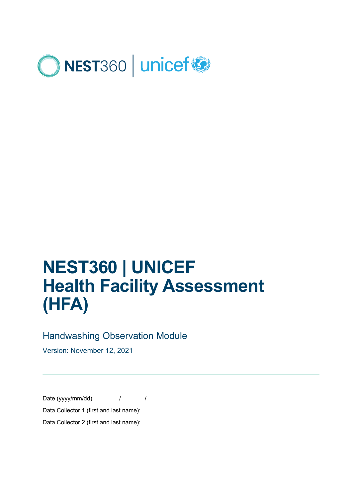

# **NEST360 | UNICEF Health Facility Assessment (HFA)**

### Handwashing Observation Module

Version: November 12, 2021

Date (yyyy/mm/dd):  $\frac{1}{2}$  / Data Collector 1 (first and last name):

Data Collector 2 (first and last name):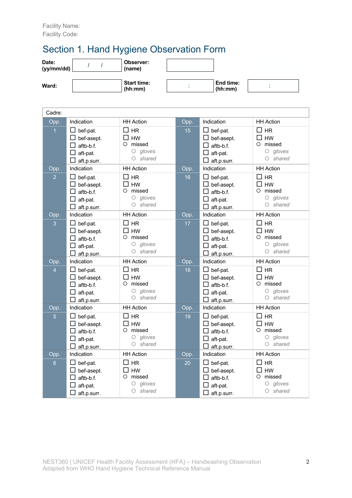# Section 1. Hand Hygiene Observation Form

| Date:<br>(yy/mm/dd) | Observer:<br>(name)           |                |                      |                |  |
|---------------------|-------------------------------|----------------|----------------------|----------------|--|
| Ward:               | <b>Start time:</b><br>(hh:mm) | $\blacksquare$ | End time:<br>(hh:mm) | $\blacksquare$ |  |
| Cadre:              |                               |                |                      |                |  |

| Opp.           | Indication             | <b>HH Action</b>          | Opp. | Indication                    | <b>HH Action</b>          |
|----------------|------------------------|---------------------------|------|-------------------------------|---------------------------|
| 1              | bef-pat.<br>bef-asept. | <b>HR</b><br>ப<br>HW<br>ப | 15   | $\Box$ bef-pat.<br>bef-asept. | $\square$ HR<br><b>HW</b> |
|                | aftb-b.f.              | missed<br>O               |      | aftb-b.f.                     | missed<br>O               |
|                | aft-pat.               | $O$ gloves                |      | aft-pat.                      | $O$ gloves                |
|                | aft.p.surr.            | O shared                  |      | aft.p.surr.                   | O shared                  |
| Opp.           | Indication             | <b>HH Action</b>          | Opp. | Indication                    | <b>HH Action</b>          |
| $\overline{2}$ | $\Box$ bef-pat.        | П<br><b>HR</b>            | 16   | $\Box$ bef-pat.               | $\Box$<br><b>HR</b>       |
|                | bef-asept.             | <b>HW</b><br>П            |      | bef-asept.                    | П<br><b>HW</b>            |
|                | П<br>aftb-b.f.         | missed<br>O               |      | aftb-b.f.                     | missed<br>O               |
|                | $\Box$ aft-pat.        | $O$ gloves                |      | $\Box$ aft-pat.               | $O$ gloves                |
|                | aft.p.surr.            | $O$ shared                |      | aft.p.surr.                   | $O$ shared                |
| Opp.           | Indication             | <b>HH</b> Action          | Opp. | Indication                    | <b>HH Action</b>          |
| $\overline{3}$ | $\Box$ bef-pat.        | П<br><b>HR</b>            | 17   | $\Box$ bef-pat.               | $\Box$<br><b>HR</b>       |
|                | $\Box$ bef-asept.      | П<br><b>HW</b>            |      | $\Box$ bef-asept.             | <b>HW</b>                 |
|                | $\Box$ aftb-b.f.       | O<br>missed               |      | $\Box$ aftb-b.f.              | O<br>missed               |
|                | $\Box$ aft-pat.        | $O$ gloves                |      | $\Box$ aft-pat.               | $O$ gloves                |
|                | $\Box$ aft.p.surr.     | $O$ shared                |      | $\Box$ aft.p.surr.            | $O$ shared                |
| Opp.           | Indication             | <b>HH Action</b>          | Opp. | Indication                    | <b>HH Action</b>          |
| $\overline{4}$ | $\Box$ bef-pat.        | $\square$ HR              | 18   | $\Box$ bef-pat.               | $\Box$ HR                 |
|                | $\Box$ bef-asept.      | П<br><b>HW</b>            |      | $\Box$ bef-asept.             | □<br>HW                   |
|                | $\Box$<br>aftb-b.f.    | $\circ$<br>missed         |      | $\Box$ aftb-b.f.              | missed<br>O               |
|                | □<br>aft-pat.          | $O$ gloves                |      | $\Box$ aft-pat.               | $O$ gloves                |
|                | $\Box$ aft.p.surr.     | $O$ shared                |      | $\Box$ aft.p.surr.            | $O$ shared                |
| Opp.           | Indication             | <b>HH Action</b>          | Opp. | Indication                    | <b>HH Action</b>          |
| $\overline{5}$ | $\Box$ bef-pat.        | $\square$ HR              | 19   | $\Box$ bef-pat.               | <b>HR</b><br>$\Box$       |
|                | bef-asept.             | <b>HW</b><br>ΙI           |      | $\Box$ bef-asept.             | <b>HW</b>                 |
|                | aftb-b.f.              | missed<br>O               |      | aftb-b.f.                     | missed<br>O               |
|                | aft-pat.               | gloves<br>О<br>$O$ shared |      | aft-pat.                      | $O$ gloves<br>$O$ shared  |
|                | □<br>aft.p.surr.       |                           |      | aft.p.surr.                   |                           |
| Opp.           | Indication             | <b>HH Action</b>          | Opp. | Indication                    | <b>HH Action</b>          |
| $6\phantom{a}$ | $\Box$ bef-pat.        | <b>HR</b><br>⊔            | 20   | $\Box$ bef-pat.               | □<br><b>HR</b>            |
|                | bef-asept.             | <b>HW</b><br>П            |      | $\Box$ bef-asept.             | П<br><b>HW</b>            |
|                | П<br>aftb-b.f.         | missed<br>$\circ$         |      | aftb-b.f.                     | missed<br>O               |
|                | aft-pat.               | gloves<br>О               |      | aft-pat.                      | gloves<br>$\circ$         |
|                | □<br>aft.p.surr.       | shared<br>О               |      | aft.p.surr.                   | $O$ shared                |